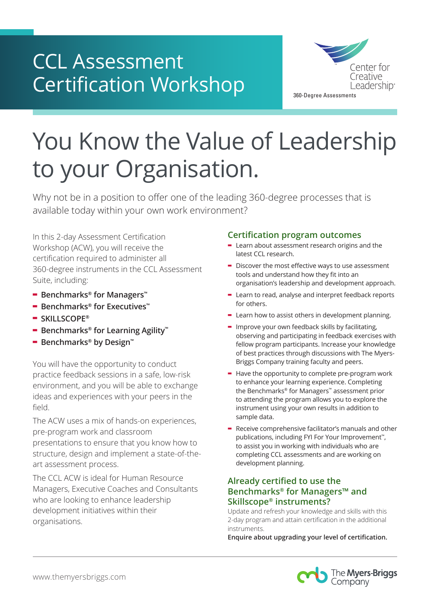# CCL Assessment Certification Workshop



# You Know the Value of Leadership to your Organisation.

Why not be in a position to offer one of the leading 360-degree processes that is available today within your own work environment? processes that is

In this 2-day Assessment Certification Workshop (ACW), you will receive the certification required to administer all 360-degree instruments in the CCL Assessment Suite, including:

- **- Benchmarks® for Managers™**
- **- Benchmarks® for Executives™**
- **- SKILLSCOPE®**
- **- Benchmarks® for Learning Agility™**
- **- Benchmarks® by Design™**

You will have the opportunity to conduct practice feedback sessions in a safe, low-risk environment, and you will be able to exchange ideas and experiences with your peers in the field.

The ACW uses a mix of hands-on experiences, pre-program work and classroom presentations to ensure that you know how to structure, design and implement a state-of-theart assessment process.

The CCL ACW is ideal for Human Resource Managers, Executive Coaches and Consultants who are looking to enhance leadership development initiatives within their organisations.

### **Certification program outcomes**

- **Figure 1998** latest CCL research. of best product product the CPP discussions with the CPPP discussions with the CPPP discussions with the CPPP discussions with the CPPP discussions with the CPPP discussions with the CPPP discussions with the CPPP discussi
- **-** Discover the most effective ways to use assessment tools and understand how they fit into an tools and anderstand not tend managers.<br>The Benchmarks for Managers for Managers approach.  $t$  and development approach.
- **-** Learn to read, analyse and interpret feedback reports for others.
- **-** Learn how to assist others in development planning.
- **-** Improve your own feedback skills by facilitating, observing and participating in feedback exercises with planning. fellow program participants. Increase your knowledge of best practices through discussions with The Myers-Briggs Company training faculty and peers.  $\frac{1}{2}$ CCCCC and are written as  $\frac{1}{2}$ Managers and Second Managers incomplete
- **-** Have the opportunity to complete pre-program work to enhance your learning experience. Completing the Benchmarks® for Managers™ assessment prior to attending the program allows you to explore the instrument using your own results in addition to sample data.
- **-** Receive comprehensive facilitator's manuals and other publications, including FYI For Your Improvement<sup>™</sup>, to assist you in working with individuals who are completing CCL assessments and are working on development planning.

### **Already certified to use the Benchmarks® for Managers™ and Skillscope® instruments?**

Update and refresh your knowledge and skills with this 2-day program and attain certification in the additional instruments.

**Enquire about upgrading your level of certification.**

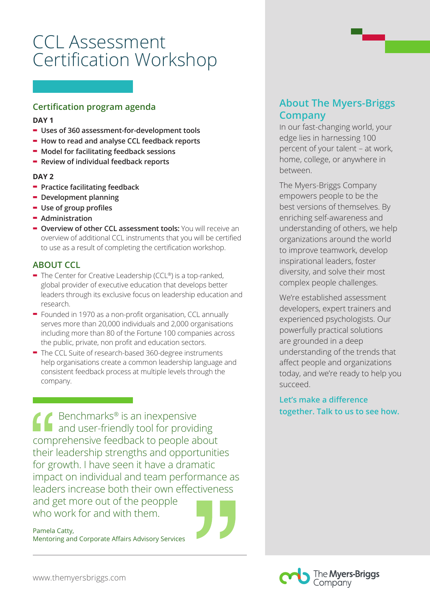# CCL Assessment Certification Workshop

## **Certification program agenda**

#### **DAY 1**

- **- Uses of 360 assessment-for-development tools**
- **- How to read and analyse CCL feedback reports**
- **- Model for facilitating feedback sessions**
- **- Review of individual feedback reports**

#### **DAY 2**

- **- Practice facilitating feedback**
- **- Development planning**
- **- Use of group profiles**
- **- Administration**
- **- Overview of other CCL assessment tools:** You will receive an overview of additional CCL instruments that you will be certified to use as a result of completing the certification workshop.

### **ABOUT CCL**

- **-** The Center for Creative Leadership (CCL®) is a top-ranked, global provider of executive education that develops better leaders through its exclusive focus on leadership education and research.
- **-** Founded in 1970 as a non-profit organisation, CCL annually serves more than 20,000 individuals and 2,000 organisations including more than 80 of the Fortune 100 companies across the public, private, non profit and education sectors.
- **-** The CCL Suite of research-based 360-degree instruments help organisations create a common leadership language and consistent feedback process at multiple levels through the company.

Benchmarks® is an inexpensive and user-friendly tool for providing comprehensive feedback to people about their leadership strengths and opportunities for growth. I have seen it have a dramatic impact on individual and team performance as leaders increase both their own effectiveness and get more out of the peopple who work for and with them.

Pamela Catty, Mentoring and Corporate Affairs Advisory Services

# **About The Myers-Briggs Company**

In our fast-changing world, your edge lies in harnessing 100 percent of your talent – at work, home, college, or anywhere in between.

The Myers-Briggs Company empowers people to be the best versions of themselves. By enriching self-awareness and understanding of others, we help organizations around the world to improve teamwork, develop inspirational leaders, foster diversity, and solve their most complex people challenges.

We're established assessment developers, expert trainers and experienced psychologists. Our powerfully practical solutions are grounded in a deep understanding of the trends that affect people and organizations today, and we're ready to help you succeed.

**Let's make a difference together. Talk to us to see how.**